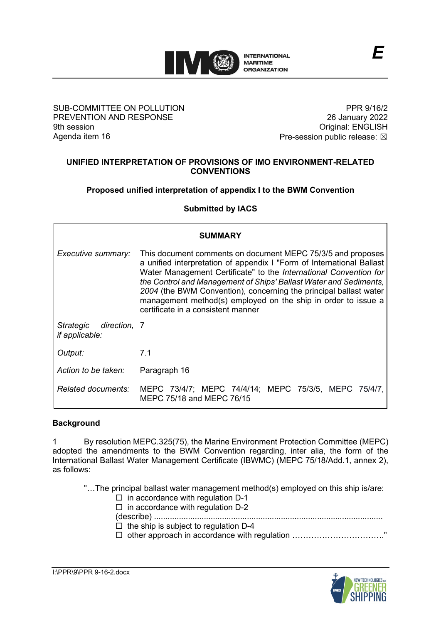

### SUB-COMMITTEE ON POLLUTION PREVENTION AND RESPONSE 9th session Agenda item 16

PPR 9/16/2 26 January 2022 Original: ENGLISH Pre-session public release:  $\boxtimes$ 

## **UNIFIED INTERPRETATION OF PROVISIONS OF IMO ENVIRONMENT-RELATED CONVENTIONS**

**Proposed unified interpretation of appendix I to the BWM Convention**

**Submitted by IACS**

| <b>SUMMARY</b>                                     |                                                                                                                                                                                                                                                                                                                                                                                                                                                            |
|----------------------------------------------------|------------------------------------------------------------------------------------------------------------------------------------------------------------------------------------------------------------------------------------------------------------------------------------------------------------------------------------------------------------------------------------------------------------------------------------------------------------|
| Executive summary:                                 | This document comments on document MEPC 75/3/5 and proposes<br>a unified interpretation of appendix I "Form of International Ballast<br>Water Management Certificate" to the International Convention for<br>the Control and Management of Ships' Ballast Water and Sediments,<br>2004 (the BWM Convention), concerning the principal ballast water<br>management method(s) employed on the ship in order to issue a<br>certificate in a consistent manner |
| direction, 7<br>Strategic<br><i>if applicable:</i> |                                                                                                                                                                                                                                                                                                                                                                                                                                                            |
| Output:                                            | 7.1                                                                                                                                                                                                                                                                                                                                                                                                                                                        |
| Action to be taken:                                | Paragraph 16                                                                                                                                                                                                                                                                                                                                                                                                                                               |
| <b>Related documents:</b>                          | MEPC 73/4/7; MEPC 74/4/14; MEPC 75/3/5, MEPC 75/4/7,<br>MEPC 75/18 and MEPC 76/15                                                                                                                                                                                                                                                                                                                                                                          |

### **Background**

1 By resolution MEPC.325(75), the Marine Environment Protection Committee (MEPC) adopted the amendments to the BWM Convention regarding, inter alia, the form of the International Ballast Water Management Certificate (IBWMC) (MEPC 75/18/Add.1, annex 2), as follows:

"…The principal ballast water management method(s) employed on this ship is/are:

- $\square$  in accordance with regulation D-1
- $\Box$  in accordance with regulation D-2
- (describe) .....................................................................................................
- $\Box$  the ship is subject to regulation D-4
- □ other approach in accordance with regulation …………………………………………………"

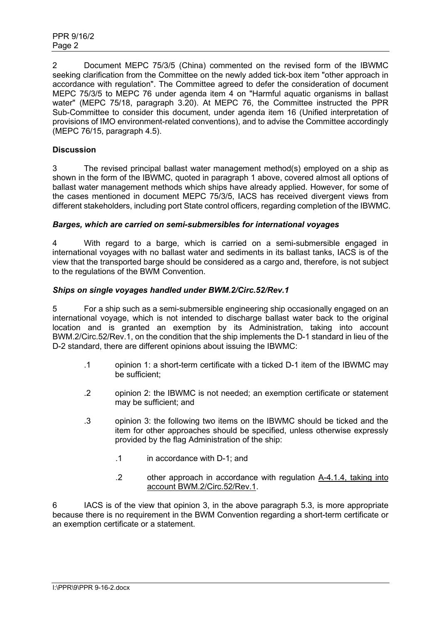2 Document MEPC 75/3/5 (China) commented on the revised form of the IBWMC seeking clarification from the Committee on the newly added tick-box item "other approach in accordance with regulation". The Committee agreed to defer the consideration of document MEPC 75/3/5 to MEPC 76 under agenda item 4 on "Harmful aquatic organisms in ballast water" (MEPC 75/18, paragraph 3.20). At MEPC 76, the Committee instructed the PPR Sub-Committee to consider this document, under agenda item 16 (Unified interpretation of provisions of IMO environment-related conventions), and to advise the Committee accordingly (MEPC 76/15, paragraph 4.5).

# **Discussion**

3 The revised principal ballast water management method(s) employed on a ship as shown in the form of the IBWMC, quoted in paragraph 1 above, covered almost all options of ballast water management methods which ships have already applied. However, for some of the cases mentioned in document MEPC 75/3/5, IACS has received divergent views from different stakeholders, including port State control officers, regarding completion of the IBWMC.

### *Barges, which are carried on semi-submersibles for international voyages*

4 With regard to a barge, which is carried on a semi-submersible engaged in international voyages with no ballast water and sediments in its ballast tanks, IACS is of the view that the transported barge should be considered as a cargo and, therefore, is not subject to the regulations of the BWM Convention.

### *Ships on single voyages handled under BWM.2/Circ.52/Rev.1*

5 For a ship such as a semi-submersible engineering ship occasionally engaged on an international voyage, which is not intended to discharge ballast water back to the original location and is granted an exemption by its Administration, taking into account BWM.2/Circ.52/Rev.1, on the condition that the ship implements the D-1 standard in lieu of the D-2 standard, there are different opinions about issuing the IBWMC:

- .1 opinion 1: a short-term certificate with a ticked D-1 item of the IBWMC may be sufficient;
- .2 opinion 2: the IBWMC is not needed; an exemption certificate or statement may be sufficient; and
- .3 opinion 3: the following two items on the IBWMC should be ticked and the item for other approaches should be specified, unless otherwise expressly provided by the flag Administration of the ship:
	- .1 in accordance with D-1; and
	- .2 other approach in accordance with regulation A-4.1.4, taking into account BWM.2/Circ.52/Rev.1.

6 IACS is of the view that opinion 3, in the above paragraph 5.3, is more appropriate because there is no requirement in the BWM Convention regarding a short-term certificate or an exemption certificate or a statement.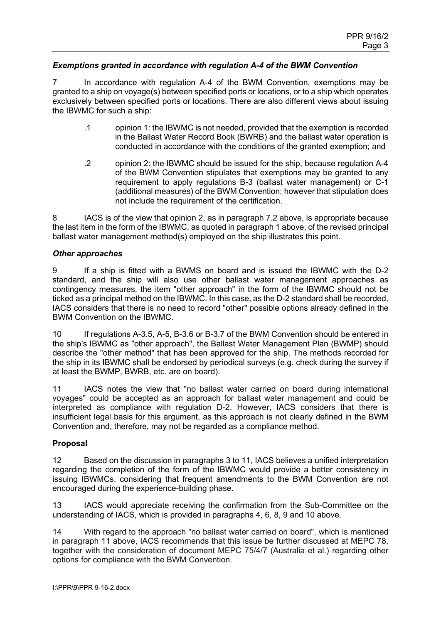### *Exemptions granted in accordance with regulation A-4 of the BWM Convention*

7 In accordance with regulation A-4 of the BWM Convention, exemptions may be granted to a ship on voyage(s) between specified ports or locations, or to a ship which operates exclusively between specified ports or locations. There are also different views about issuing the IBWMC for such a ship:

- .1 opinion 1: the IBWMC is not needed, provided that the exemption is recorded in the Ballast Water Record Book (BWRB) and the ballast water operation is conducted in accordance with the conditions of the granted exemption; and
- .2 opinion 2: the IBWMC should be issued for the ship, because regulation A-4 of the BWM Convention stipulates that exemptions may be granted to any requirement to apply regulations B-3 (ballast water management) or C-1 (additional measures) of the BWM Convention; however that stipulation does not include the requirement of the certification.

8 IACS is of the view that opinion 2, as in paragraph 7.2 above, is appropriate because the last item in the form of the IBWMC, as quoted in paragraph 1 above, of the revised principal ballast water management method(s) employed on the ship illustrates this point.

### *Other approaches*

9 If a ship is fitted with a BWMS on board and is issued the IBWMC with the D-2 standard, and the ship will also use other ballast water management approaches as contingency measures, the item "other approach" in the form of the IBWMC should not be ticked as a principal method on the IBWMC. In this case, as the D-2 standard shall be recorded, IACS considers that there is no need to record "other" possible options already defined in the BWM Convention on the IBWMC.

10 If regulations A-3.5, A-5, B-3.6 or B-3.7 of the BWM Convention should be entered in the ship's IBWMC as "other approach", the Ballast Water Management Plan (BWMP) should describe the "other method" that has been approved for the ship. The methods recorded for the ship in its IBWMC shall be endorsed by periodical surveys (e.g. check during the survey if at least the BWMP, BWRB, etc. are on board).

11 IACS notes the view that "no ballast water carried on board during international voyages" could be accepted as an approach for ballast water management and could be interpreted as compliance with regulation D-2. However, IACS considers that there is insufficient legal basis for this argument, as this approach is not clearly defined in the BWM Convention and, therefore, may not be regarded as a compliance method.

### **Proposal**

12 Based on the discussion in paragraphs 3 to 11, IACS believes a unified interpretation regarding the completion of the form of the IBWMC would provide a better consistency in issuing IBWMCs, considering that frequent amendments to the BWM Convention are not encouraged during the experience-building phase.

13 IACS would appreciate receiving the confirmation from the Sub-Committee on the understanding of IACS, which is provided in paragraphs 4, 6, 8, 9 and 10 above.

14 With regard to the approach "no ballast water carried on board", which is mentioned in paragraph 11 above, IACS recommends that this issue be further discussed at MEPC 78, together with the consideration of document MEPC 75/4/7 (Australia et al.) regarding other options for compliance with the BWM Convention.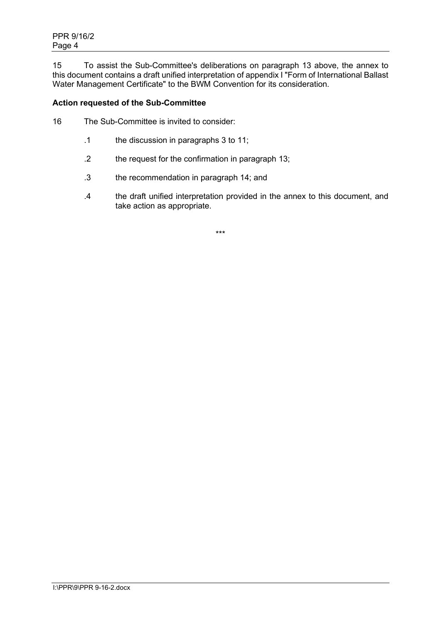15 To assist the Sub-Committee's deliberations on paragraph 13 above, the annex to this document contains a draft unified interpretation of appendix I "Form of International Ballast Water Management Certificate" to the BWM Convention for its consideration.

## **Action requested of the Sub-Committee**

- 16 The Sub-Committee is invited to consider:
	- .1 the discussion in paragraphs 3 to 11;
	- .2 the request for the confirmation in paragraph 13;
	- .3 the recommendation in paragraph 14; and
	- .4 the draft unified interpretation provided in the annex to this document, and take action as appropriate.

\*\*\*